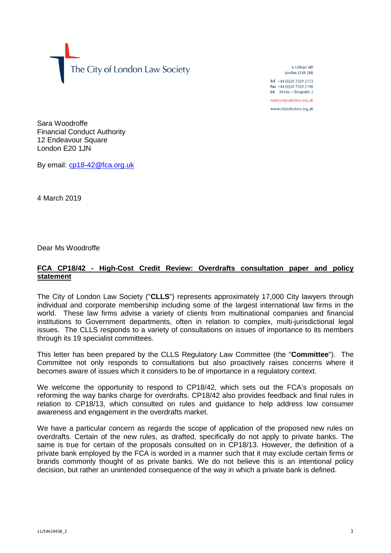The City of London Law Society

4 College Hill London FC4R 2RB

Tel +44 (0)20 7329 2173 Fax +44 (0)20 7329 2190 DX  $98936$  - Cheapside 2 mail@citysolicitors.org.uk

www.citysolicitors.org.uk

Sara Woodroffe Financial Conduct Authority 12 Endeavour Square London E20 1JN

By email: [cp18-42@fca.org.uk](mailto:cp18-42@fca.org.uk)

4 March 2019

Dear Ms Woodroffe

## **FCA CP18/42 - High-Cost Credit Review: Overdrafts consultation paper and policy statement**

The City of London Law Society ("**CLLS**") represents approximately 17,000 City lawyers through individual and corporate membership including some of the largest international law firms in the world. These law firms advise a variety of clients from multinational companies and financial institutions to Government departments, often in relation to complex, multi-jurisdictional legal issues. The CLLS responds to a variety of consultations on issues of importance to its members through its 19 specialist committees.

This letter has been prepared by the CLLS Regulatory Law Committee (the "**Committee**"). The Committee not only responds to consultations but also proactively raises concerns where it becomes aware of issues which it considers to be of importance in a regulatory context.

We welcome the opportunity to respond to CP18/42, which sets out the FCA's proposals on reforming the way banks charge for overdrafts. CP18/42 also provides feedback and final rules in relation to CP18/13, which consulted on rules and guidance to help address low consumer awareness and engagement in the overdrafts market.

We have a particular concern as regards the scope of application of the proposed new rules on overdrafts. Certain of the new rules, as drafted, specifically do not apply to private banks. The same is true for certain of the proposals consulted on in CP18/13. However, the definition of a private bank employed by the FCA is worded in a manner such that it may exclude certain firms or brands commonly thought of as private banks. We do not believe this is an intentional policy decision, but rather an unintended consequence of the way in which a private bank is defined.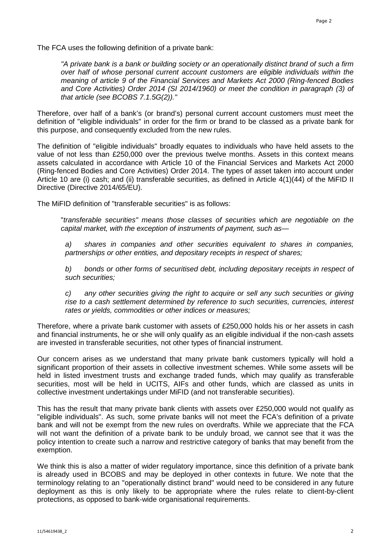The FCA uses the following definition of a private bank:

*"A private bank is a bank or building society or an operationally distinct brand of such a firm over half of whose personal current account customers are eligible individuals within the meaning of article 9 of the Financial Services and Markets Act 2000 (Ring-fenced Bodies and Core Activities) Order 2014 (SI 2014/1960) or meet the condition in paragraph (3) of that article (see BCOBS 7.1.5G(2))."*

Therefore, over half of a bank's (or brand's) personal current account customers must meet the definition of "eligible individuals" in order for the firm or brand to be classed as a private bank for this purpose, and consequently excluded from the new rules.

The definition of "eligible individuals" broadly equates to individuals who have held assets to the value of not less than £250,000 over the previous twelve months. Assets in this context means assets calculated in accordance with Article 10 of the Financial Services and Markets Act 2000 (Ring-fenced Bodies and Core Activities) Order 2014. The types of asset taken into account under Article 10 are (i) cash; and (ii) transferable securities, as defined in Article 4(1)(44) of the MiFID II Directive (Directive 2014/65/EU).

The MiFID definition of "transferable securities" is as follows:

"*transferable securities" means those classes of securities which are negotiable on the capital market, with the exception of instruments of payment, such as—*

*a) shares in companies and other securities equivalent to shares in companies, partnerships or other entities, and depositary receipts in respect of shares;*

*b) bonds or other forms of securitised debt, including depositary receipts in respect of such securities;*

*c) any other securities giving the right to acquire or sell any such securities or giving rise to a cash settlement determined by reference to such securities, currencies, interest rates or yields, commodities or other indices or measures;*

Therefore, where a private bank customer with assets of £250,000 holds his or her assets in cash and financial instruments, he or she will only qualify as an eligible individual if the non-cash assets are invested in transferable securities, not other types of financial instrument.

Our concern arises as we understand that many private bank customers typically will hold a significant proportion of their assets in collective investment schemes. While some assets will be held in listed investment trusts and exchange traded funds, which may qualify as transferable securities, most will be held in UCITS, AIFs and other funds, which are classed as units in collective investment undertakings under MiFID (and not transferable securities).

This has the result that many private bank clients with assets over £250,000 would not qualify as "eligible individuals". As such, some private banks will not meet the FCA's definition of a private bank and will not be exempt from the new rules on overdrafts. While we appreciate that the FCA will not want the definition of a private bank to be unduly broad, we cannot see that it was the policy intention to create such a narrow and restrictive category of banks that may benefit from the exemption.

We think this is also a matter of wider regulatory importance, since this definition of a private bank is already used in BCOBS and may be deployed in other contexts in future. We note that the terminology relating to an "operationally distinct brand" would need to be considered in any future deployment as this is only likely to be appropriate where the rules relate to client-by-client protections, as opposed to bank-wide organisational requirements.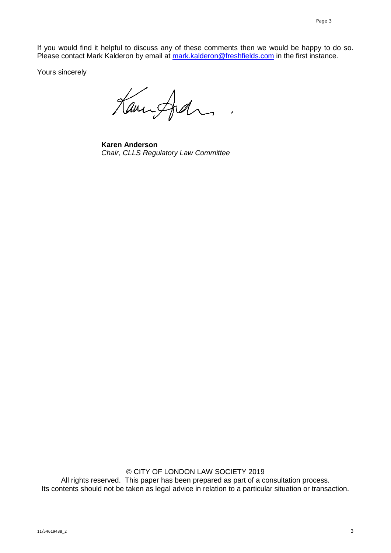If you would find it helpful to discuss any of these comments then we would be happy to do so. Please contact Mark Kalderon by email at [mark.kalderon@freshfields.com](mailto:mark.kalderon@freshfields.com) in the first instance.

Yours sincerely

Kampfal,

**Karen Anderson** *Chair, CLLS Regulatory Law Committee*

© CITY OF LONDON LAW SOCIETY 2019 All rights reserved. This paper has been prepared as part of a consultation process. Its contents should not be taken as legal advice in relation to a particular situation or transaction.